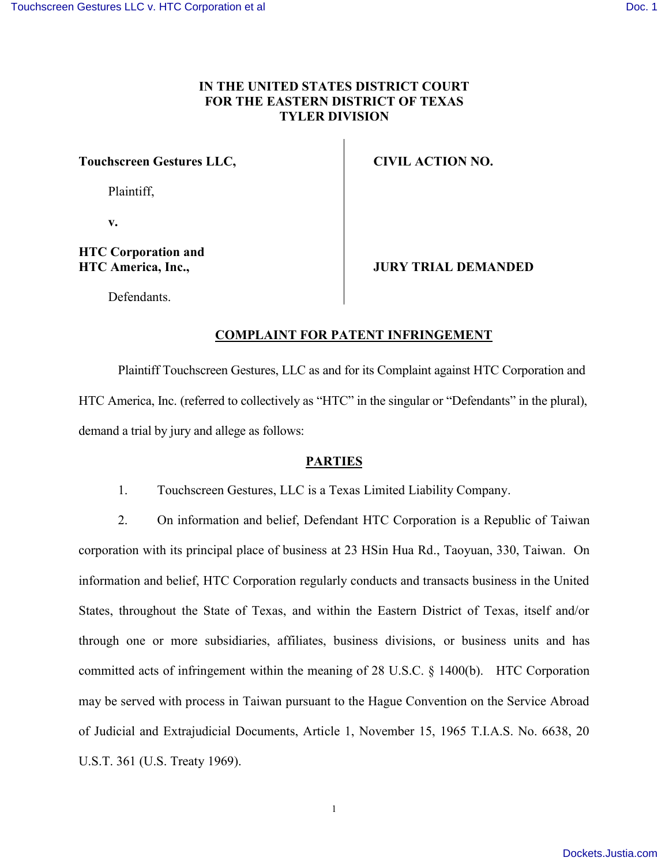# IN THE UNITED STATES DISTRICT COURT FOR THE EASER NOISTRICT OF TEXAS TYLERDIVISION Touchscreen Gestures LLC, Plain,tiff v. HTC Corporation HTC America, Inc.  $Defendant$ CIVIL ACTION NO. JURY TRIAL DEMANDED

# COMPLAINT FOR PLANTERNINGEMENT

Plain Tiof  $t$  chscreen,  $G$  at a  $G$  and  $t$  form plaint  $\Box g$  acting  $G$  or ation and HTC Americ (ae ferrote d to collect followe lt yheassing Dube as enorgiant the plural demand a trial by jury and allege as follows:

# PARTIES

1. Touchscreen Gessuae Estimal siced Liability Company

 $2.$  On information and be HiTe  $\mathbb C$ ,  $\mathbb O$  oerfpeoning bactanion  $\mathbb R$  epublic ion of n

corporantion its principal plaacte 263 fHoSuismin, Helosia o Ryodian, 330, OnTaiwan. information and  $\overline{\textbf{G}}$  e  $\textbf{C}$  icerfporreaginal arly conducts and transacts busine Stat $\texttt{\&b}$  soughout the StaatedowiTheixmashe Eastern District of Texa through one or more subsidiaries, affolriables inbas modenals divisi committed acts of winfrhim get meemte aning of 28 UH. SSCC  $\mathfrak{G}$ rplo4r0a0t (bon). may be served witThapwepues saimt to the Hague Convention on the of Juidailcand Extrajudicial Dobeculm, eNhotse mAbreir 15, 1965 T.I.A.S. N U.S.T. 361 (U.S. Treaty 1969).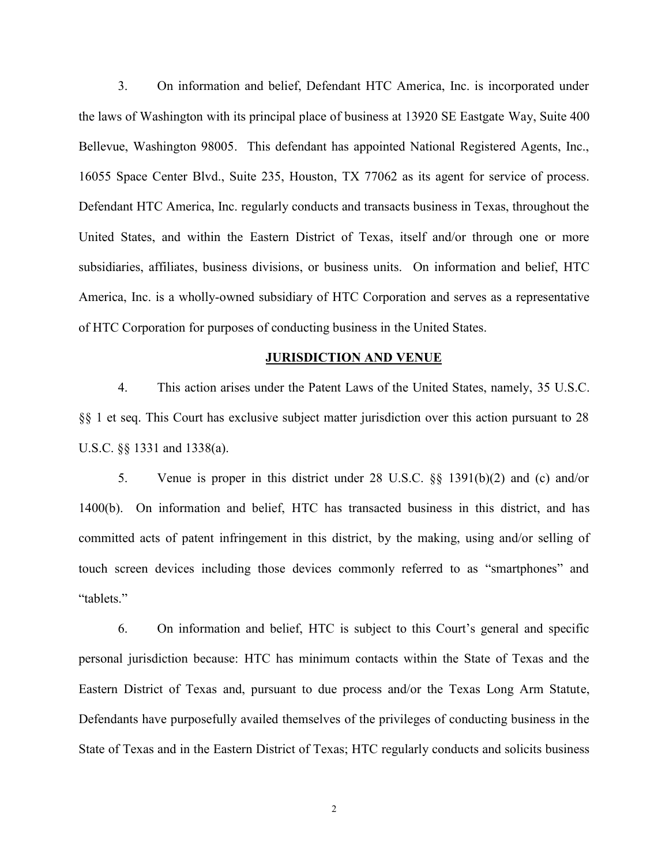3. On information and belief, Defendant HTC America, In the lawWs aosfhingwhich its principal place of busineWs ayat S1u30e2040SOE Belevue, Washington h98005 fendant has appointed National Reg 16055 Speanctee rCBIvd., Suite 2T3X5,7 HOo6u2stanss, its agent for service Defend ant Americrae, glund and moducts and transacts business in Texa United States, and awsiten Dinstrict of Texas, itself and/or through subsidiaries, affiliates, business di $\circ$ insion fos moartibounsianhneTon $\circ$ sbeuhietfs. America, is in a wholow liny ed subsible TaC y Coo frpo a and iosnerves as a representative in the  $\lambda$ of HTC Corpofroantipoun rposes of conducthien  $dJ$  bout seich eS statiens.

#### JURISDICTION AND VENUE

4. This action arises under the Patent Law \$5 fUt Ste CUnite §§ 1 et seq. This Court has exclusive subject matter jurisdicti U.S.C. §§ 1331 and 1338(a).

5. Venue is proper in this district under 28 U.S.C. §§ 1400(b). On informatiholTnChastransacted business in theis district,  $1400$ committed acts of patent infringheymtehnet minakthnig, duistnig tand/or s touch screen devices including those devices commonly refe tablets.

6. On information althTclOIs estuebiject to this Court s general personal jurisdictHoTnChbaescamuisneimum contacts within the State o EasteD instrict of a The exassuant to due process and/or the Texas Defen**shave**purposefully tha evanisled obtethem privileges of conducting bus State of Texas Eaansd **@insthict** of HTTeOx agularly conducts and solicits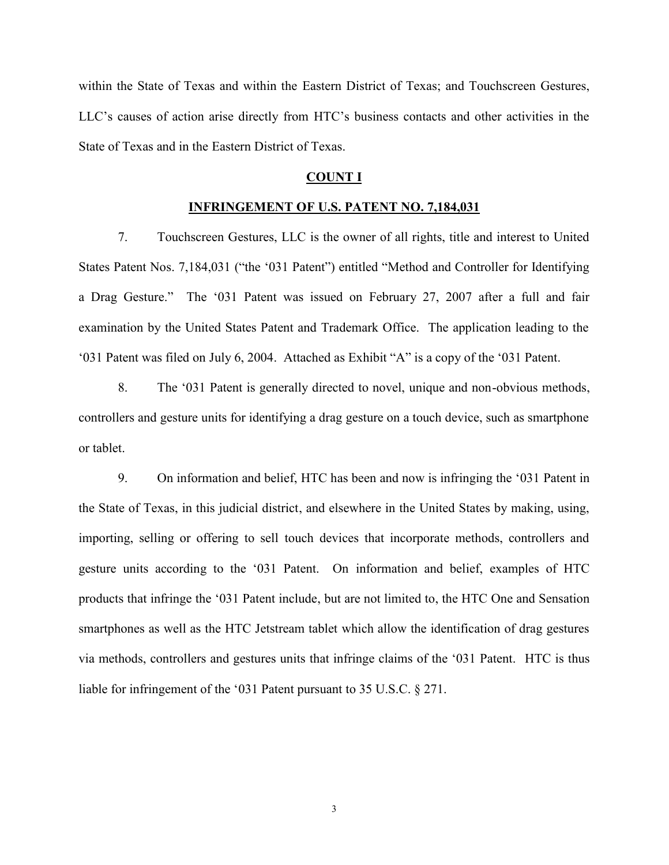within the State of TexaEsa satual direction of  $\overline{a}$  ouchscones  $\overline{a}$  within  $\overline{b}$ LLC sauses of action arishet  $C$ sbestling from  $R$  and  $R$  and other activities in the  $R$ State of Texas EaansdeDimisthing tof Texas.

### COUNT I

### INFRINGEMENT OF U.S. PTAITBEANS T NO.

7. TouchscGesturesis LtLCe owner of all rights, title and in States Pas.  $\vec{q}$ n18N4q (0311 031Patent ) entitled and Controller for Identifying the States Pas. a Drag GestuTrhe0e31Patent was isFseuberollaorn, 27a, ft2e0t07a full and fai examination by the United States Patent and Trademark Office 03 Patent was Jfulleyd 60 n2A Ot 0 ached as Exhibit A is a copy of the

8. The 03 Patent is generally directed to obvious, maihads and controllers and gesture units for identifying a drag gesture on or tablet .

9. On information belofion believen and now is in0f3 Thagtion regional time the State of Texas, in thiss plu**e is eaw** hebirsetrict the United States by importing, selling or  $\phi$  of the order selenge to sell to the corporate methods, c  $g$ esture units according to the fo $0$ n3t atiPoanteanntedx abo $\theta$  pileefbel ToCf prodss  $\operatorname{ctth}$  atinignthe 031 Pate, nbeaine but dleimitet of HenTo  $\mathcal D$  ne and Sensation smartphones as ell at  $\pm$  Cheets tream whan bhe tallow the identification of drag general  $\pm$ via methods, controllers and gestures units that **In Odisin higues** claim liable for infring  $\epsilon$ On $\delta$  ePrattentitibursuant to 35 U.S.C. § 271.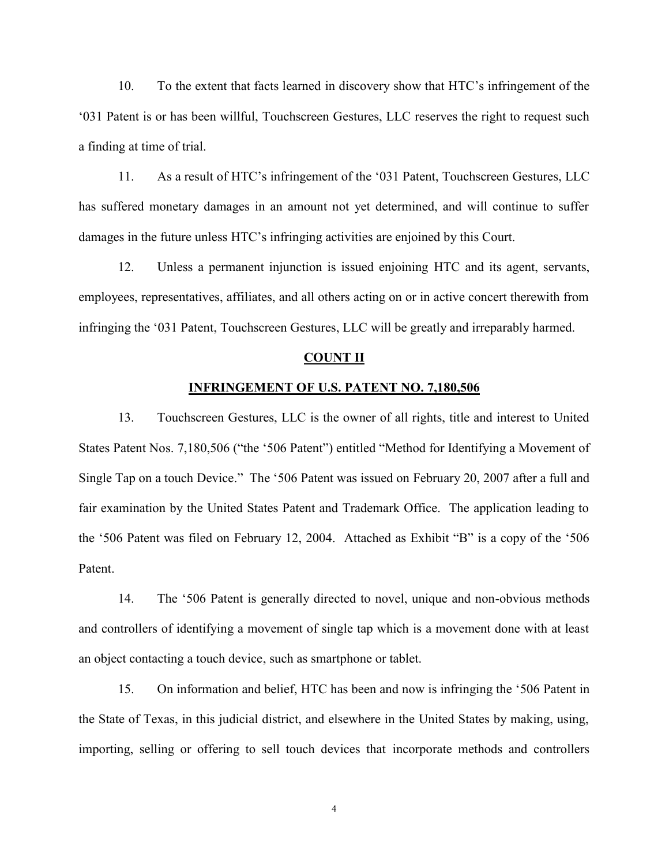10. To the extent that infacting the searning of that factor in the find the the 03 Patent is or has  $\overline{b}$  we changle  $\overline{c}$  the  $\overline{c}$  vestures the right to requestion  $\overline{c}$ a finding at time of trial.

11. As a resHolTtCsoinfringement03ofPatheeThot,uchscGl**es**tureGs, LL has suffered monetary damages in an amount not yet determi damages in the fHe TuO sien furning asing activities are enjoined by this C

12. Unless a permanent injunctio.htTiGani**s**isutesdaegne $\overline{\text{matrix}}$ , isonegrva employees, representatives, affiliates, and all others acting or  $\inf$  infringin $\theta$  3the tehouchscreen Geswiul retuse, be LeC atly and irreparably harmonic sum and it and it and it and it also in the standard statement of the statement of the statement of the statement of the statement

#### COUNT I

# INFRINGEMENT OF U.S. P7A1TBEND TO NO.

13. TouchscGesturesisLthCe owner of all rights, title and in States Paste $\vec{a}$ nt $0$   $\infty$   $\infty$  the  $0\cdot \vec{b}$  atent ) en $M$ tett $l$ heodd for Identifying a Movem Single Tap on a toudh5eD@ateent was i5sbewdaoy020ft2er a full and fair examination by the United States Patent and Trademark O the  $506$  atent was ffieled  $u$  any 1.2. At  $206$  Hed as Exhibit B is a copy Patent.

14. The 506Patent is genoetreadlytodince vel, uniquale commod throodns and controllers of identifying a movement of single tap which an object contacting, asutobucahs dsenvaictephone or tablet.

15. On information **belichas b**elbeef**e**lnn**aw** is infrin5**o0i6Re**, tehnet in the State of Texas, in this judicial district, and elsewhere in t importing, selling or offering to isnecloirpoourathe dreavericoloused stohlabetids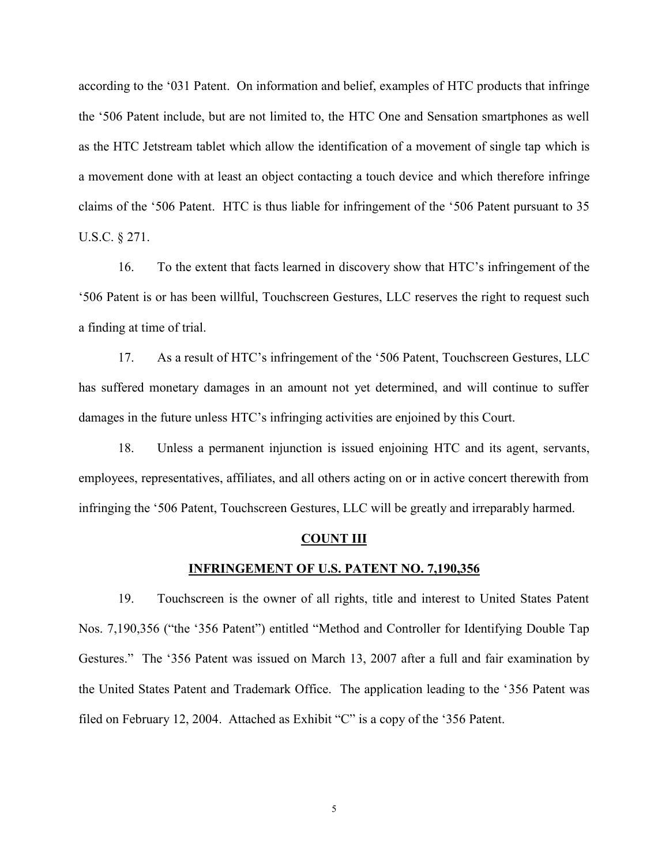according to the nt031OFP information and HoTeOpireofdue cot amtholaets inoffring the  $506$  atent include, but are  $m \delta$  Climited and  $\delta$  the sation smartphone as the HTC Jetstwile jacht allow the identification of awhich whished to a movement done with at least an objeacnt dc own tith a touch device and which the which therefore in device a claims  $\circ$   $5$   $0$   $0$   $0$   $\alpha$  ate nHtT  $0$  s thus liable for infri5n  $0$ g  $0$   $\alpha$  anteemt op furt sue ant to 3 U.S.C. § 271.

16. To the extent that foaicst solvee ary net be blow TwnCst his fartingement of the  $50E$  atent is or has  $\overline{b}$  we changle  $\overline{c}$  to  $\overline{c}$  respectures, the right to requestion  $\overline{c}$ a finding at time of trial.

17. As a resHulTtCsoinfringemen15006PatheeThot,uchscGl**es**tures, LLC has suffered monetary damages in an amount not yet determi damages in the fhe **TuOsien furninegsing** activities are enjoined by this C

18. Unless a permanent injunctio.htTiGani**s**isutesdaegnejnosti,nisnegrvan employees, representatives, affiliates, and all others acting or  $\inf$ ringin $\bar{\mathfrak{g}}$  Ot $\pmb{\circ}$  ate  $\bar{\mathfrak{h}}$  o,uchsc $G$  estures, will  $\mathsf{L} \mathfrak{G}$  e greatly and irreparably h

#### COUNTII

#### <u>INFRINGEMENT OF U.S. P741196BNS</u> T6 NO.

19. Touchscirse  $\mathsf{a}$  he owner of all rights, title and interest to Nos.7,90356 the 356Patent ) enMettlheodd and Controller for Identifying Gestures The  $\oplus$  atent was in Mesured of  $\beta$ , a 2t the  $0.7a$  full and fair examination by the United States Patent and Trademark Offic85  $\mathcal P$  ahe application leads to the to the Index of the United States filed Foenbruary 1.2At $2a$  the des Exhibit C is a copy of the 356 P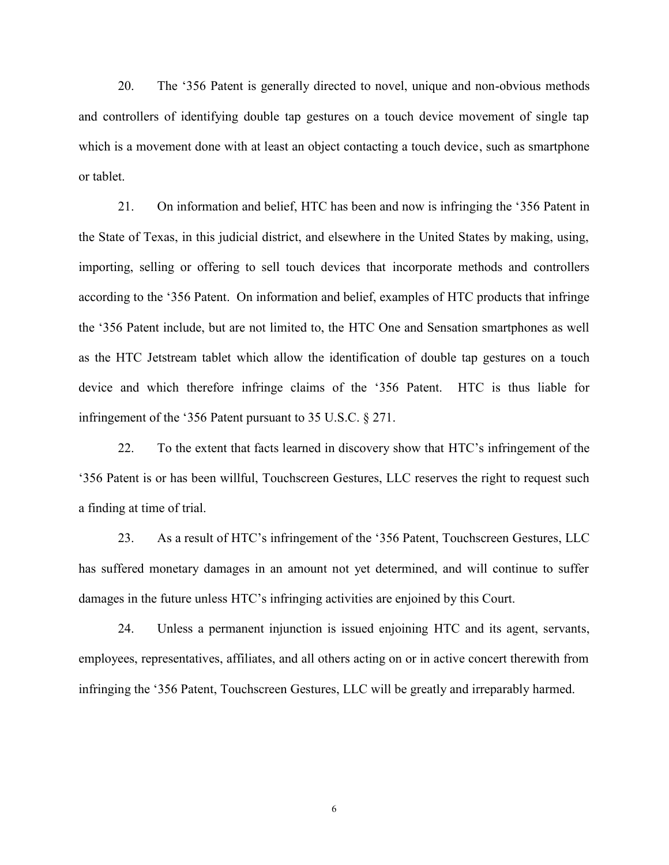20. The 356P atent is generolaltloy rodoirveed teuniquale vaconnodes holonds and controllers of identifying double tap gestures on a touch which is a movement done with at least an, o suje at a constracting oan or tablet.

 $21.$  On inform and HbTe  $\mathbf{C}$  in and and now is 355  $\mathbf{F}$  raing in ginthe the State of Texas, in this judicial district, and elsewhere in t importing, selling or offering to isnecloirpoourathe dreavericbloostostlinkanantishing methods and controllers according  $356$ Rhateent. On information and HTT of intertionation fing the 356Patent include, but are  $M \Phi C$  limited and  $S$  the sation smartphone as the HTC Jetstwrehaloch taalblow the tioche onobilibiled tap genastures on a touch  $\alpha$ devicaend whitothereformferinge claims 3566PattheentHTCis thus liable for infringemen $850$  athe ent pursuant to  $35$  U.S.C.  $\S$  271.

22. To the extent that facts learnedHTnC sidnin's age enrey nst hoof wth the a  $356$  atent is or has  $\overline{b}$  we changle  $\overline{c}$  the  $\overline{c}$  vestures, the right to requestion  $\overline{c}$ a finding at time of trial.

23. As a resht **TtCs of** fringement  $\delta$  56 the attempt of the  $\delta$ <sub>5</sub> destures, LLC has suffered monetary damages in an amount not yet determined, damages in the fhellfu Cosien furninging activities are enjoined by this C

24. Unless a permanent injunctio.htTiGani**s**ds utesdaegne jnosti,nisnegrvan employees, representatives, affiliates, and all others acting or  $\inf$  infringing  $5t$   $\theta$  ate  $\hbar$   $\phi$ ,  $\mu$  chs  $c$   $\theta$  estures will  $L$   $\theta$  e greatly and irreparably harmodic.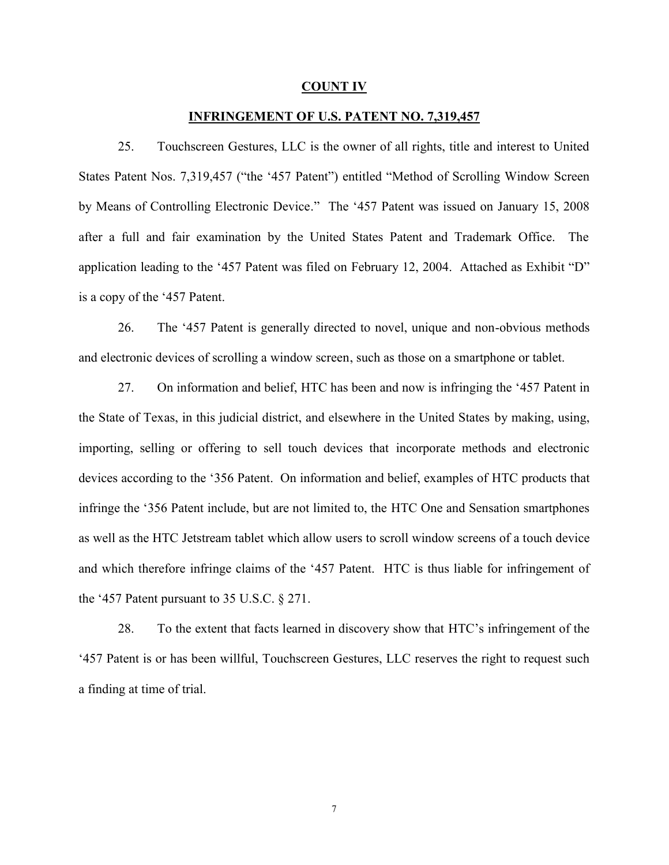#### $C$ OUNTI

### INFRINGEMENT OF U.S. P7,437119241547 NO.

25. TouchscGesturesis LtLnCe owner of all rights, title and in States Pase7o\$t1, AN 507 the 457Patent ) enMettlheodd of Scrolling Window S by Means of Controlling EledTh4on PiateDnetviwcaes islaned rypn15, 2008 after a full and fair examination by the United States Paten application lead4i5nPerattonent hew as Frielle rolumeny 1.2.At  $2a$  O Maed as Exhibit D is a copy of the 457 Patent.

26. The 457Patentense roally directed to noved by union boad red and nongeled non and electronic devices of scrolsting theos weinsolm averts pot reneen or tablet.

27. On information beling the belief and now is in 415 Phagtion regt time the State assf, Trexthis judicial district, and elseewhere leining, the sindign, it importing, selling or offering to isned orpoouroanled nenveitcheosd sthaantid ele devicaecs cording  $356$ Rhateent. On information and HTDG  $p$  inert,  $u \boldsymbol{e}$  that that  $\boldsymbol{e}$  is infringe 35 f<del>or Be</del>atent include, but are  $m \delta C$  loCnminetead not  $\delta$  the ation smart as well as the HTC Jwehistothe almheodewashilteot scroll windoow ushcroteheevnisceof a and whtihcehrefion fieringe claim  $457$   $\Theta$  fattentent  $T$   $\rm{G}$  s thus liable for infringem the  $45P$  atent pursuant to 35 U.S.C. § 271.

28. To the extent that facts learnedHTnC sichi fsroi ogeny ensit or the  $45$  Patent is or has  $\overline{b}$  end an exceleies thures, Lensight to request such a form  $\overline{c}$  and  $\overline{c}$ a finding at time of trial.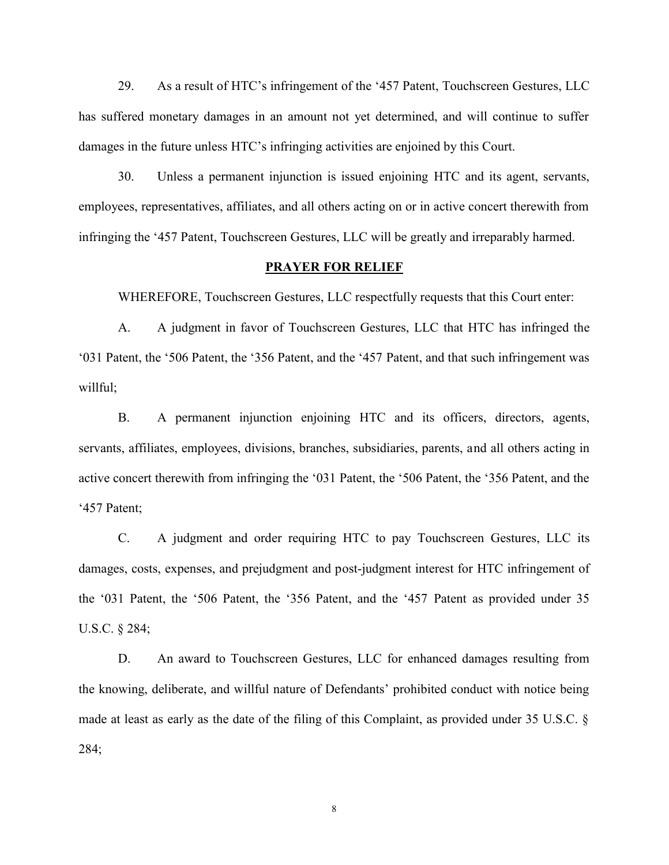$29.$  As a reshull  $TtCs$  infringement  $\Phi$  at the  $\bar{h}$  to uchscofies of tures, LLC has suffered monetary damages in an amount not yet determined, damages in the fhe TC is furning is a ctivities are enjoined by this C

30. Unless a permanent injunctio hillicanissitutesdagene indinishearvan employees, representatives, affiliates, and all others acting or infringing  $\pi$ Rate  $\pi$ b, uchscoses foures will be greatly and irreparably harmodic.

#### PRAYER FOR RELIEF

WHEREFOTROEL, chscoses hures, elsipectfully requests that this Co

A. A judgment in Tfoaw och so Gestures that HTCh ainfringed the 03 Patent, the 506 Patent, the 3P5a6 test and the athological final sun sun that  $57/2$  gement willful;

B. A permanent injunctible TCandictisofficers, directors, agents, and servants, affiliates, employees, divisions, nod rann lcho en subsiding r active concert therewith heore of Praftreing intuge  $506$  Patent, the 356  $45P$ aten

C. A judgment and ord Hell Ctequal Touchscofees nures, its LC damages, costs, expenses, aonsqilu **pigemie olig minethet rTeaCentof for r**gement of the  $031$  Patent, the  $506$  Patent, the  $B56$  be a Past pernot v, id algoring the  $45$ U.S.C. § 284;

D. An award outchscGestures, fout Leahanced damages resulting for the from the from the from the from the from the from the from the from the from the from the from the from the from the from the from the from the from the the knowing, delibelful ten atude wof Defendants prohibited condu made at least as early as the date of the filing of this Compla 284;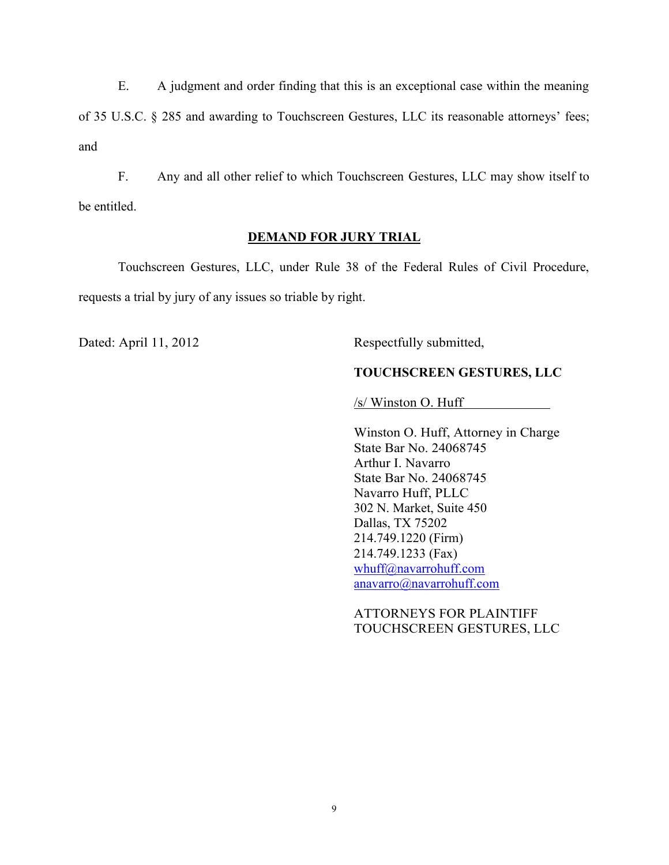E. A judgment and order finding that this is an exception of  $315. S.C.$  § 285 and Taowuacrholsio Cheestonures, its LLC is a sonable attorneys and

F. Any and all other relief to Givensituh Teso, uthe Screenery show its be entitled.

## DEMAND FOR JURY TRIAL

TouchscGeesntures, LLnLCer Rule 38 of the Federal Rules of requests a trial by jury of any issues so triable by right.

DateAdpril, 121012 Respectfully submitted,

TOUCHSCREEN GESTURES, LLC

/s/ Winston O. Huff

Winston O. Attuofiney in Charge State Bar No. 24068745 Arthur I. Navarro State Bar No. 24068745 Navarro Huff, PLLC 302 N. Market, Suite 450 Dallas, TX 75202 214.749.1220 (Firm) 214.749.1233 (Fax) whuff@navarrohuff.com anavarro@navarrohuff.com

ATTORNEYS FOR PLAINTIFF TOUCHSCREEN GESTURES, LLC